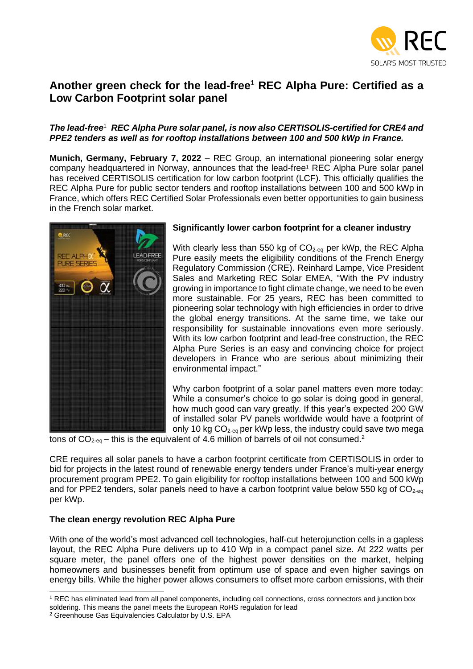

# **Another green check for the lead-free<sup>1</sup> REC Alpha Pure: Certified as a Low Carbon Footprint solar panel**

## *The lead-free*<sup>1</sup> *REC Alpha Pure solar panel, is now also CERTISOLIS-certified for CRE4 and PPE2 tenders as well as for rooftop installations between 100 and 500 kWp in France.*

**Munich, Germany, February 7, 2022** – REC Group, an international pioneering solar energy company headquartered in Norway, announces that the lead-free<sup>1</sup> REC Alpha Pure solar panel has received CERTISOLIS certification for low carbon footprint (LCF). This officially qualifies the REC Alpha Pure for public sector tenders and rooftop installations between 100 and 500 kWp in France, which offers REC Certified Solar Professionals even better opportunities to gain business in the French solar market.



## **Significantly lower carbon footprint for a cleaner industry**

With clearly less than 550 kg of CO<sub>2-eq</sub> per kWp, the REC Alpha Pure easily meets the eligibility conditions of the French Energy Regulatory Commission (CRE). Reinhard Lampe, Vice President Sales and Marketing REC Solar EMEA, "With the PV industry growing in importance to fight climate change, we need to be even more sustainable. For 25 years, REC has been committed to pioneering solar technology with high efficiencies in order to drive the global energy transitions. At the same time, we take our responsibility for sustainable innovations even more seriously. With its low carbon footprint and lead-free construction, the REC Alpha Pure Series is an easy and convincing choice for project developers in France who are serious about minimizing their environmental impact."

Why carbon footprint of a solar panel matters even more today: While a consumer's choice to go solar is doing good in general. how much good can vary greatly. If this year's expected 200 GW of installed solar PV panels worldwide would have a footprint of only 10 kg  $CO_{2-eq}$  per kWp less, the industry could save two mega

tons of  $CO_{2\text{-eq}}$  – this is the equivalent of 4.6 million of barrels of oil not consumed.<sup>2</sup>

CRE requires all solar panels to have a carbon footprint certificate from CERTISOLIS in order to bid for projects in the latest round of renewable energy tenders under France's multi-year energy procurement program PPE2. To gain eligibility for rooftop installations between 100 and 500 kWp and for PPE2 tenders, solar panels need to have a carbon footprint value below 550 kg of  $CO<sub>2-eq</sub>$ per kWp.

## **The clean energy revolution REC Alpha Pure**

With one of the world's most advanced cell technologies, half-cut heterojunction cells in a gapless layout, the REC Alpha Pure delivers up to 410 Wp in a compact panel size. At 222 watts per square meter, the panel offers one of the highest power densities on the market, helping homeowners and businesses benefit from optimum use of space and even higher savings on energy bills. While the higher power allows consumers to offset more carbon emissions, with their

<sup>1</sup> REC has eliminated lead from all panel components, including cell connections, cross connectors and junction box soldering. This means the panel meets the European RoHS regulation for lead

<sup>2</sup> Greenhouse Gas Equivalencies Calculator by U.S. EPA